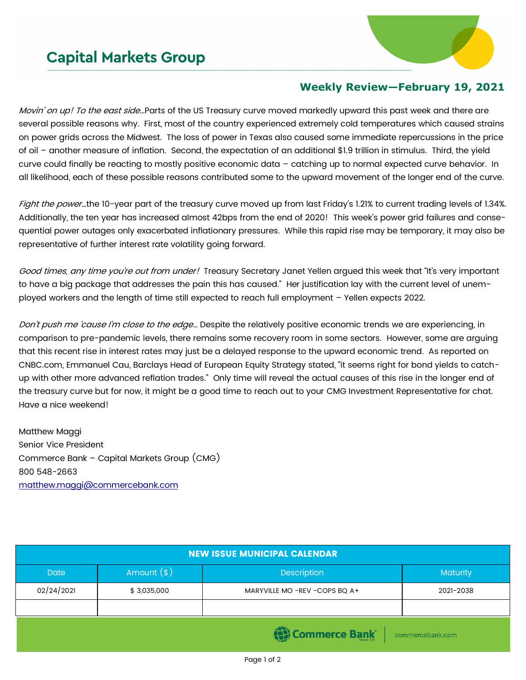## **Capital Markets Group**



## **Weekly Review—February 19, 2021**

Movin' on up! To the east side…Parts of the US Treasury curve moved markedly upward this past week and there are several possible reasons why. First, most of the country experienced extremely cold temperatures which caused strains on power grids across the Midwest. The loss of power in Texas also caused some immediate repercussions in the price of oil – another measure of inflation. Second, the expectation of an additional \$1.9 trillion in stimulus. Third, the yield curve could finally be reacting to mostly positive economic data – catching up to normal expected curve behavior. In all likelihood, each of these possible reasons contributed some to the upward movement of the longer end of the curve.

Fight the power...the 10-year part of the treasury curve moved up from last Friday's 1.21% to current trading levels of 1.34%. Additionally, the ten year has increased almost 42bps from the end of 2020! This week's power grid failures and consequential power outages only exacerbated inflationary pressures. While this rapid rise may be temporary, it may also be representative of further interest rate volatility going forward.

Good times, any time you're out from under! Treasury Secretary Janet Yellen argued this week that "It's very important to have a big package that addresses the pain this has caused." Her justification lay with the current level of unemployed workers and the length of time still expected to reach full employment – Yellen expects 2022.

Don't push me 'cause I'm close to the edge... Despite the relatively positive economic trends we are experiencing, in comparison to pre-pandemic levels, there remains some recovery room in some sectors. However, some are arguing that this recent rise in interest rates may just be a delayed response to the upward economic trend. As reported on CNBC.com, Emmanuel Cau, Barclays Head of European Equity Strategy stated, "it seems right for bond yields to catchup with other more advanced reflation trades." Only time will reveal the actual causes of this rise in the longer end of the treasury curve but for now, it might be a good time to reach out to your CMG Investment Representative for chat. Have a nice weekend!

Matthew Maggi Senior Vice President Commerce Bank – Capital Markets Group (CMG) 800 548-2663 [matthew.maggi@commercebank.com](mailto:matthew.maggi@commercebank.com)

| <b>NEW ISSUE MUNICIPAL CALENDAR</b>   |              |                               |                 |  |  |  |
|---------------------------------------|--------------|-------------------------------|-----------------|--|--|--|
| <b>Date</b>                           | Amount $(*)$ | Description                   | <b>Maturity</b> |  |  |  |
| 02/24/2021                            | \$3,035,000  | MARYVILLE MO -REV -COPS BQ A+ | 2021-2038       |  |  |  |
|                                       |              |                               |                 |  |  |  |
| (B) Commerce Bank<br>commercebank.com |              |                               |                 |  |  |  |